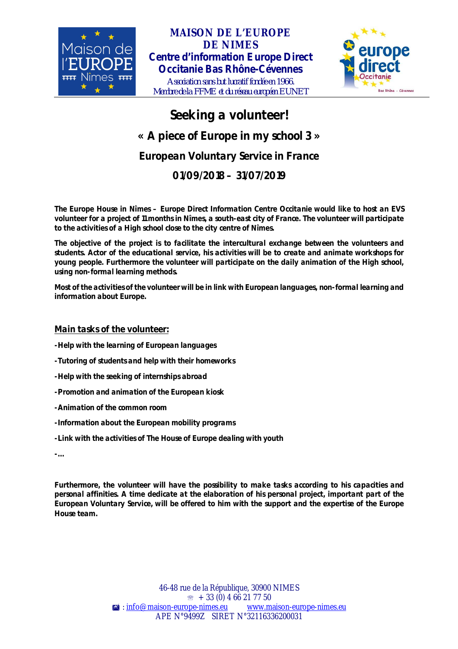

# **MAISON DE L'EUROPE DE NIMES** *Centre d'information Europe Direct Occitanie Bas Rhône-Cévennes* ľ



*Association sans but lucratif fondée en 1966. Membre de la FFME et du réseau européen EUNET*

# **Seeking a volunteer! « A piece of Europe in my school 3 » European Voluntary Service in France 01/09/2018 – 31/07/2019**

**The Europe House in Nîmes – Europe Direct Information Centre Occitanie would like to host an EVS volunteer for a project of 11 months in Nîmes, a south-east city of France. The volunteer will participate to the activities of a High school close to the city centre of Nîmes.**

**The objective of the project is to facilitate the intercultural exchange between the volunteers and students. Actor of the educational service, his activities will be to create and animate workshops for young people. Furthermore the volunteer will participate on the daily animation of the High school, using non-formal learning methods.**

**Most of the activities of the volunteer will be in link with European languages, non-formal learning and information about Europe.**

## **Main tasks of the volunteer:**

**-Help with the learning of European languages**

- **-Tutoring of students and help with their homeworks**
- **-Help with the seeking of internships abroad**
- **-Promotion and animation of the European kiosk**
- **-Animation of the common room**
- **-Information about the European mobility programs**
- **-Link with the activities of The House of Europe dealing with youth**

**-…**

**Furthermore, the volunteer will have the possibility to make tasks according to his capacities and personal affinities. A time dedicate at the elaboration of his personal project, important part of the European Voluntary Service, will be offered to him with the support and the expertise of the Europe House team.**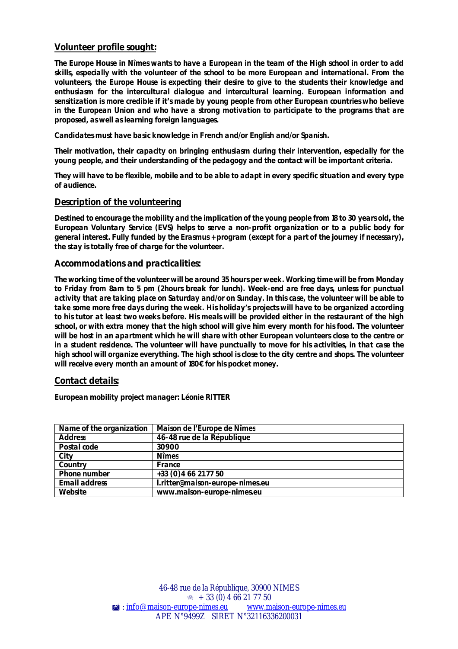### **Volunteer profile sought:**

**The Europe House in Nîmes wants to have a European in the team of the High school in order to add skills, especially with the volunteer of the school to be more European and international. From the volunteers, the Europe House is expecting their desire to give to the students their knowledge and enthusiasm for the intercultural dialogue and intercultural learning. European information and sensitization is more credible if it's made by young people from other European countries who believe in the European Union and who have a strong motivation to participate to the programs that are proposed, as well as learning foreign languages.**

**Candidates must have basic knowledge in French and/or English and/or Spanish.**

**Their motivation, their capacity on bringing enthusiasm during their intervention, especially for the young people, and their understanding of the pedagogy and the contact will be important criteria.**

**They will have to be flexible, mobile and to be able to adapt in every specific situation and every type of audience.**

#### **Description of the volunteering**

**Destined to encourage the mobility and the implication of the young people from 18 to 30 years old, the European Voluntary Service (EVS) helps to serve a non-profit organization or to a public body for general interest. Fully funded by the Erasmus + program (except for a part of the journey if necessary), the stay is totally free of charge for the volunteer.**

#### **Accommodations and practicalities:**

**The working time of the volunteer will be around 35 hours per week. Working time will be from Monday to Friday from 8am to 5 pm (2hours break for lunch). Week-end are free days, unless for punctual activity that are taking place on Saturday and/or on Sunday. In this case, the volunteer will be able to take some more free days during the week. His holiday's projects will have to be organized according to his tutor at least two weeks before. His meals will be provided either in the restaurant of the high school, or with extra money that the high school will give him every month for his food. The volunteer will be host in an apartment which he will share with other European volunteers close to the centre or in a student residence. The volunteer will have punctually to move for his activities, in that case the high school will organize everything. The high school is close to the city centre and shops. The volunteer will receive every month an amount of 180€ for his pocket money.**

#### **Contact details:**

**European mobility project manager: Léonie RITTER**

| Name of the organization | Maison de l'Europe de Nîmes     |
|--------------------------|---------------------------------|
| <b>Address</b>           | 46-48 rue de la République      |
| Postal code              | 30900                           |
| City                     | <b>Nîmes</b>                    |
| Country                  | France                          |
| Phone number             | +33 (0) 4 66 21 77 50           |
| <b>Email address</b>     | l.ritter@maison-europe-nimes.eu |
| Website                  | www.maison-europe-nimes.eu      |